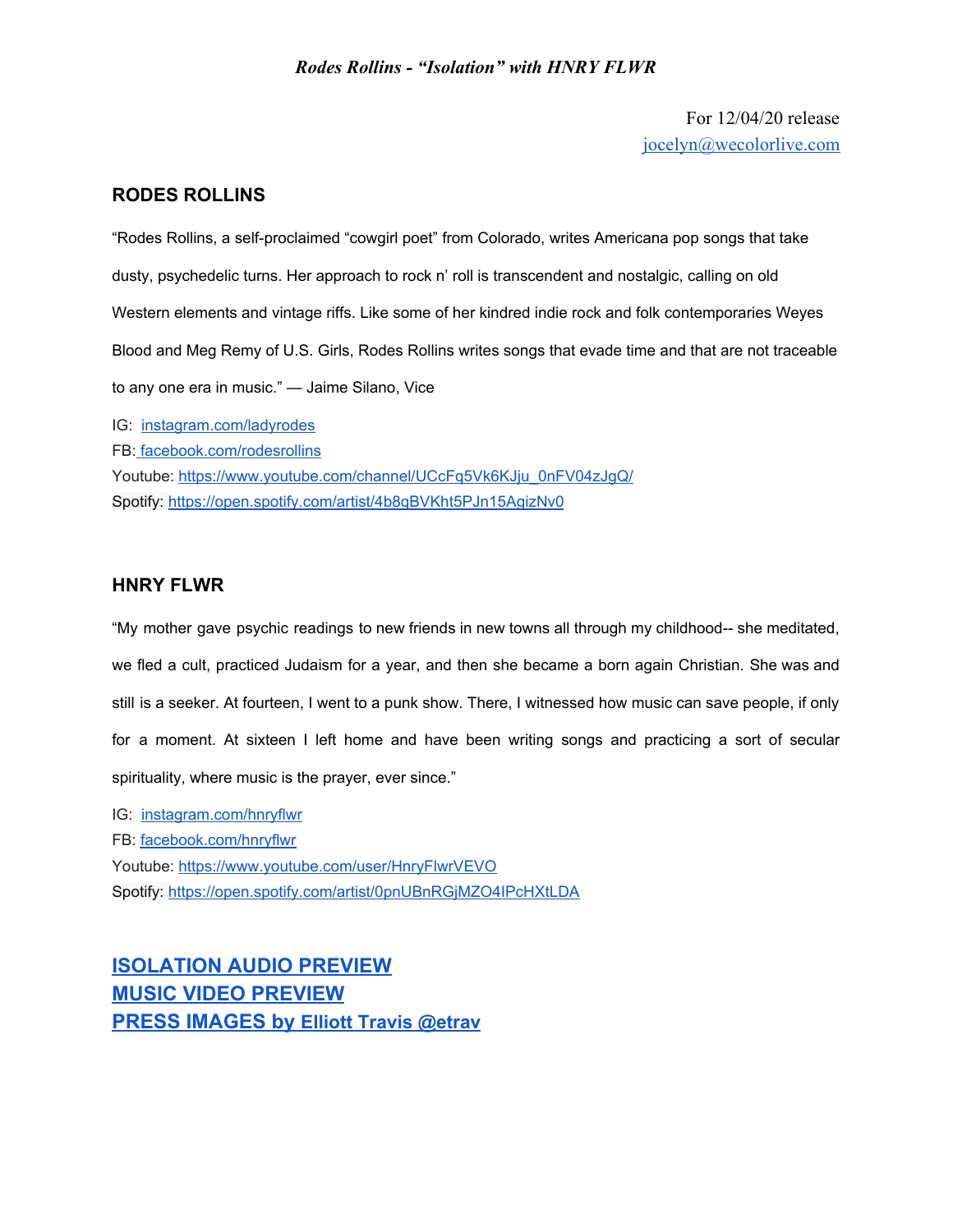## *Rodes Rollins - "Isolation" with HNRY FLWR*

For 12/04/20 release [jocelyn@wecolorlive.com](mailto:jocelyn@wecolorlive.com)

## **RODES ROLLINS**

"Rodes Rollins, a self-proclaimed "cowgirl poet" from Colorado, writes Americana pop songs that take dusty, psychedelic turns. Her approach to rock n' roll is transcendent and nostalgic, calling on old Western elements and vintage riffs. Like some of her kindred indie rock and folk contemporaries Weyes Blood and Meg Remy of U.S. Girls, Rodes Rollins writes songs that evade time and that are not traceable to any one era in music." — Jaime Silano, Vice

IG: [instagram.com/ladyrodes](https://www.instagram.com/ladyrodes/) FB: [facebook.com/rodesrollins](https://www.facebook.com/rodesrollins) Youtube: [https://www.youtube.com/channel/UCcFq5Vk6KJju\\_0nFV04zJgQ/](https://www.youtube.com/channel/UCcFq5Vk6KJju_0nFV04zJgQ/) Spotify[:](https://open.spotify.com/artist/0pnUBnRGjMZO4IPcHXtLDA) [https://open.spotify.com/artist/4b8qBVKht5PJn15AgizNv0](https://open.spotify.com/artist/4b8qBVKht5PJn15AgizNv0?si=KV3dlLbgSkKnNEJTH2fHoQ)

## **[HNRY FLWR](https://www.youtube.com/watch?v=DI37WDtvGSg&feature=youtu.be)**

"My mother gave psychic readings to new friends in new towns all through my childhood-- she meditated, we fled a cult, practiced Judaism for a year, and then she became a born again Christian. She was and still is a seeker. At fourteen, I went to a punk show. There, I witnessed how music can save people, if only for a moment. At sixteen I left home and have been writing songs and practicing a sort of secular spirituality, where music is the prayer, ever since."

IG: [instagram.com/hnryflwr](https://www.instagram.com/hnryflwr/) FB: [facebook.com/hnryflwr](https://www.facebook.com/hnryflwr/) Youtube: <https://www.youtube.com/user/HnryFlwrVEVO> Spotify[:](https://open.spotify.com/artist/0pnUBnRGjMZO4IPcHXtLDA) <https://open.spotify.com/artist/0pnUBnRGjMZO4IPcHXtLDA>

**[ISOLATION](https://soundcloud.com/rodesrollins/isolation-with-hnry-flwr/s-Sv5dVGcUkyU) AUDIO PREVIEW MUSIC VIDEO [PREVIEW](https://vimeo.com/482455768/6b0f9e37fb) PRESS [IMAGES](https://www.dropbox.com/sh/65dr8fweuj2h5q9/AAA2jB4PGDdAo08T32iXCRPva?dl=0) by [Elliott Travis @etrav](https://www.dropbox.com/sh/65dr8fweuj2h5q9/AAA2jB4PGDdAo08T32iXCRPva?dl=0)**